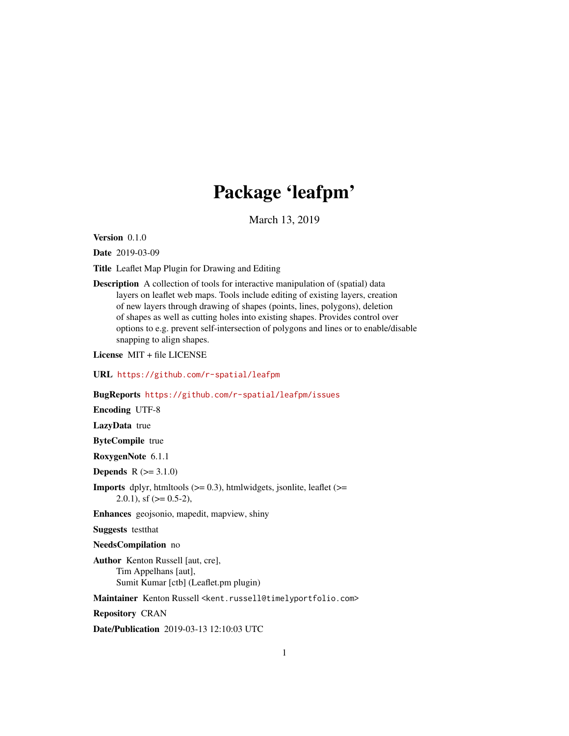## Package 'leafpm'

March 13, 2019

Version 0.1.0

Date 2019-03-09

Title Leaflet Map Plugin for Drawing and Editing

Description A collection of tools for interactive manipulation of (spatial) data layers on leaflet web maps. Tools include editing of existing layers, creation of new layers through drawing of shapes (points, lines, polygons), deletion of shapes as well as cutting holes into existing shapes. Provides control over options to e.g. prevent self-intersection of polygons and lines or to enable/disable snapping to align shapes.

License MIT + file LICENSE

URL <https://github.com/r-spatial/leafpm>

BugReports <https://github.com/r-spatial/leafpm/issues>

Encoding UTF-8

LazyData true

ByteCompile true

RoxygenNote 6.1.1

**Depends**  $R (= 3.1.0)$ 

**Imports** dplyr, htmltools  $(>= 0.3)$ , htmlwidgets, jsonlite, leaflet  $(>= 0.3)$ 2.0.1), sf  $(>= 0.5-2)$ ,

Enhances geojsonio, mapedit, mapview, shiny

Suggests testthat

NeedsCompilation no

Author Kenton Russell [aut, cre], Tim Appelhans [aut], Sumit Kumar [ctb] (Leaflet.pm plugin)

Maintainer Kenton Russell <kent.russell@timelyportfolio.com>

Repository CRAN

Date/Publication 2019-03-13 12:10:03 UTC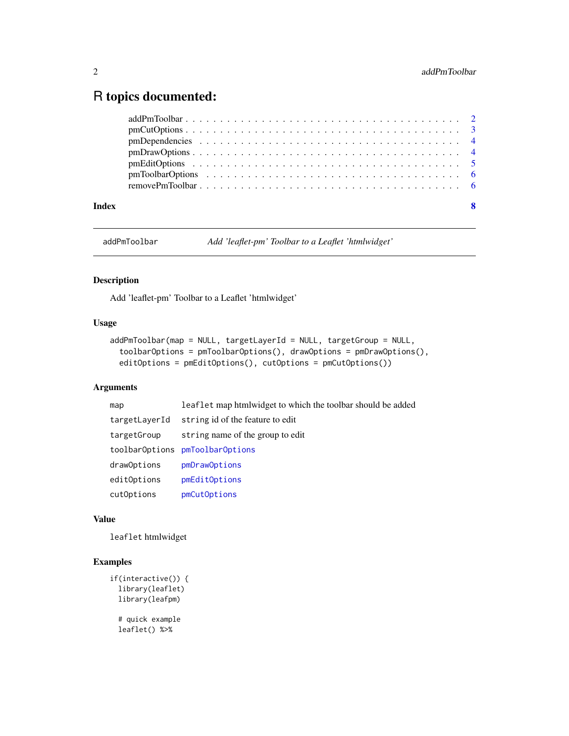### <span id="page-1-0"></span>R topics documented:

addPmToolbar *Add 'leaflet-pm' Toolbar to a Leaflet 'htmlwidget'*

#### Description

Add 'leaflet-pm' Toolbar to a Leaflet 'htmlwidget'

#### Usage

```
addPmToolbar(map = NULL, targetLayerId = NULL, targetGroup = NULL,
  toolbarOptions = pmToolbarOptions(), drawOptions = pmDrawOptions(),
  editOptions = pmEditOptions(), cutOptions = pmCutOptions())
```
#### Arguments

| map           | leaflet map htmlwidget to which the toolbar should be added |
|---------------|-------------------------------------------------------------|
| targetLayerId | string id of the feature to edit                            |
| targetGroup   | string name of the group to edit                            |
|               | toolbarOptions pmToolbarOptions                             |
| drawOptions   | pmDrawOptions                                               |
| editOptions   | pmEditOptions                                               |
| cutOptions    | pmCutOptions                                                |

#### Value

leaflet htmlwidget

#### Examples

```
if(interactive()) {
 library(leaflet)
 library(leafpm)
 # quick example
 leaflet() %>%
```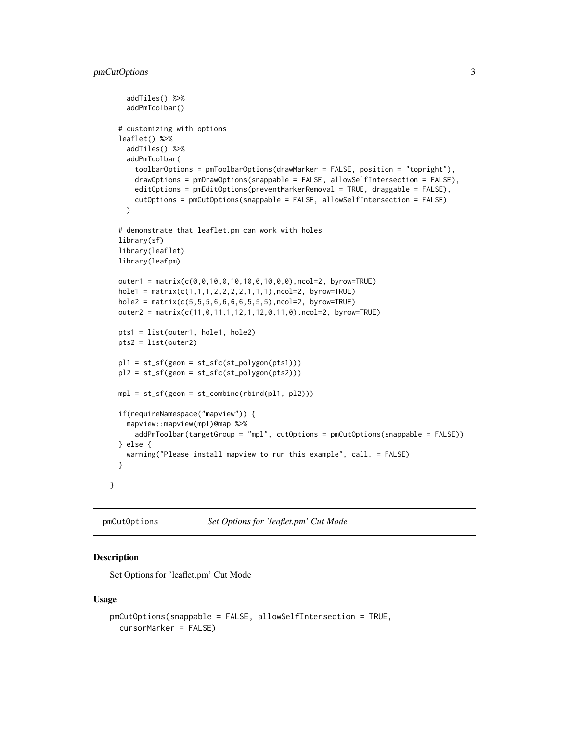```
addTiles() %>%
  addPmToolbar()
# customizing with options
leaflet() %>%
  addTiles() %>%
  addPmToolbar(
    toolbarOptions = pmToolbarOptions(drawMarker = FALSE, position = "topright"),
    drawOptions = pmDrawOptions(snappable = FALSE, allowSelfIntersection = FALSE),
    editOptions = pmEditOptions(preventMarkerRemoval = TRUE, draggable = FALSE),
    cutOptions = pmCutOptions(snappable = FALSE, allowSelfIntersection = FALSE)
  \lambda# demonstrate that leaflet.pm can work with holes
library(sf)
library(leaflet)
library(leafpm)
outer1 = matrix(c(0,0,10,0,10,10,0,10,0,0),ncol=2, byrow=TRUE)
hole1 = matrix(c(1,1,1,2,2,2,2,1,1,1),ncol=2, byrow=TRUE)hole2 = matrix(c(5,5,5,6,6,6,6,5,5,5),ncol=2, byrow=TRUE)
outer2 = matrix(c(11,0,11,1,12,1,12,0,11,0),ncol=2, byrow=TRUE)
pts1 = list(outer1, hole1, hole2)
pts2 = list(outer2)
pl1 = st_sf(geom = st_sfc(st_polygon(pts1)))
pl2 = st_sf(geom = st_sfc(st_polygon(pts2)))
mpl = st_sf(geom = st_{combine}(rbind(pl1, pl2)))if(requireNamespace("mapview")) {
  mapview::mapview(mpl)@map %>%
    addPmToolbar(targetGroup = "mpl", cutOptions = pmCutOptions(snappable = FALSE))
} else {
  warning("Please install mapview to run this example", call. = FALSE)
}
```
<span id="page-2-1"></span>pmCutOptions *Set Options for 'leaflet.pm' Cut Mode*

#### Description

}

Set Options for 'leaflet.pm' Cut Mode

#### Usage

```
pmCutOptions(snappable = FALSE, allowSelfIntersection = TRUE,
  cursorMarker = FALSE)
```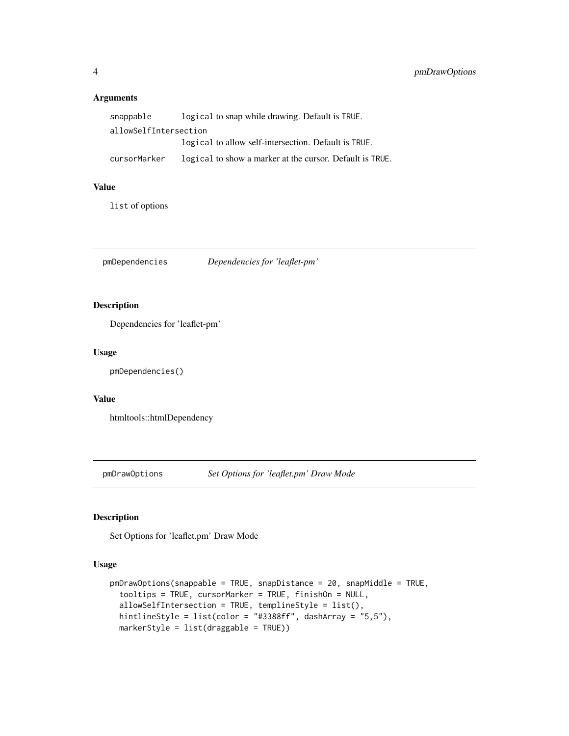#### <span id="page-3-0"></span>Arguments

| snappable             | logical to snap while drawing. Default is TRUE.          |
|-----------------------|----------------------------------------------------------|
| allowSelfIntersection |                                                          |
|                       | logical to allow self-intersection. Default is TRUE.     |
| cursorMarker          | logical to show a marker at the cursor. Default is TRUE. |

#### Value

list of options

pmDependencies *Dependencies for 'leaflet-pm'*

#### Description

Dependencies for 'leaflet-pm'

#### Usage

pmDependencies()

#### Value

htmltools::htmlDependency

<span id="page-3-1"></span>pmDrawOptions *Set Options for 'leaflet.pm' Draw Mode*

#### Description

Set Options for 'leaflet.pm' Draw Mode

#### Usage

```
pmDrawOptions(snappable = TRUE, snapDistance = 20, snapMiddle = TRUE,
  tooltips = TRUE, cursorMarker = TRUE, finishOn = NULL,
  allowSelfIntersection = TRUE, templineStyle = list(),
 hintlineStyle = list(color = "#3388ff", dashArray = "5,5"),
 markerStyle = list(draggable = TRUE))
```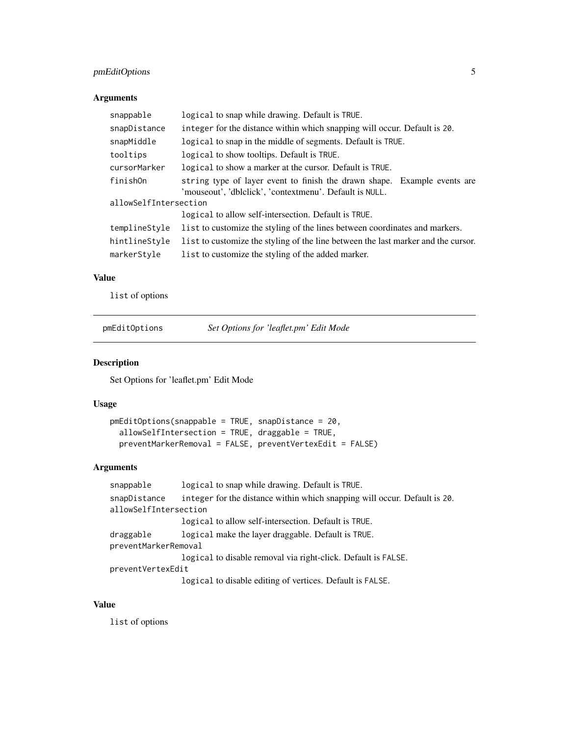#### <span id="page-4-0"></span>pmEditOptions 5

#### Arguments

| snappable             | logical to snap while drawing. Default is TRUE.                                                                                     |
|-----------------------|-------------------------------------------------------------------------------------------------------------------------------------|
| snapDistance          | integer for the distance within which snapping will occur. Default is 20.                                                           |
| snapMiddle            | logical to snap in the middle of segments. Default is TRUE.                                                                         |
| tooltips              | logical to show tooltips. Default is TRUE.                                                                                          |
| cursorMarker          | logical to show a marker at the cursor. Default is TRUE.                                                                            |
| finishOn              | string type of layer event to finish the drawn shape. Example events are<br>'mouseout', 'dblclick', 'contextmenu'. Default is NULL. |
| allowSelfIntersection |                                                                                                                                     |
|                       | logical to allow self-intersection. Default is TRUE.                                                                                |
| templineStyle         | list to customize the styling of the lines between coordinates and markers.                                                         |
| hintlineStyle         | l ist to customize the styling of the line between the last marker and the cursor.                                                  |
| markerStyle           | list to customize the styling of the added marker.                                                                                  |

#### Value

list of options

<span id="page-4-1"></span>pmEditOptions *Set Options for 'leaflet.pm' Edit Mode*

#### Description

Set Options for 'leaflet.pm' Edit Mode

#### Usage

```
pmEditOptions(snappable = TRUE, snapDistance = 20,
  allowSelfIntersection = TRUE, draggable = TRUE,
 preventMarkerRemoval = FALSE, preventVertexEdit = FALSE)
```
#### Arguments

```
snappable logical to snap while drawing. Default is TRUE.
snapDistance integer for the distance within which snapping will occur. Default is 20.
allowSelfIntersection
                 logical to allow self-intersection. Default is TRUE.
draggable logical make the layer draggable. Default is TRUE.
preventMarkerRemoval
                 logical to disable removal via right-click. Default is FALSE.
preventVertexEdit
                 logical to disable editing of vertices. Default is FALSE.
```
#### Value

list of options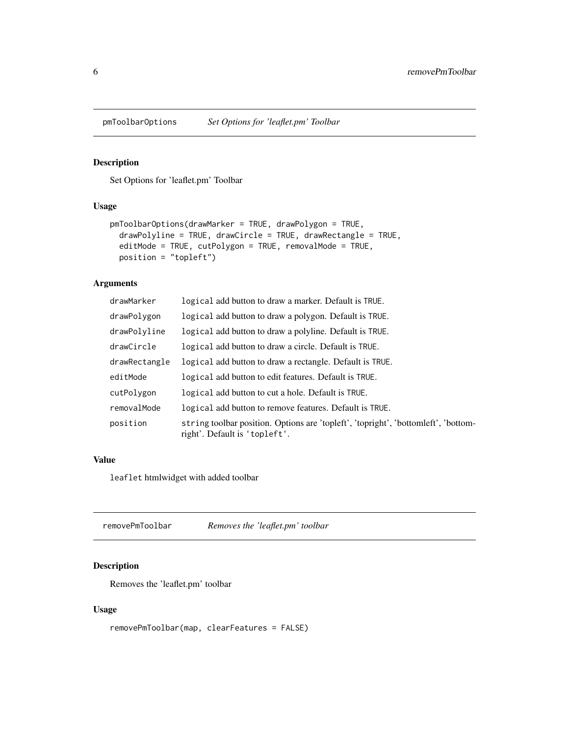<span id="page-5-1"></span><span id="page-5-0"></span>

#### Description

Set Options for 'leaflet.pm' Toolbar

#### Usage

```
pmToolbarOptions(drawMarker = TRUE, drawPolygon = TRUE,
  drawPolyline = TRUE, drawCircle = TRUE, drawRectangle = TRUE,
 editMode = TRUE, cutPolygon = TRUE, removalMode = TRUE,
 position = "topleft")
```
#### Arguments

| drawMarker    | logical add button to draw a marker. Default is TRUE.                                                               |
|---------------|---------------------------------------------------------------------------------------------------------------------|
| drawPolygon   | logical add button to draw a polygon. Default is TRUE.                                                              |
| drawPolyline  | logical add button to draw a polyline. Default is TRUE.                                                             |
| drawCircle    | logical add button to draw a circle. Default is TRUE.                                                               |
| drawRectangle | logical add button to draw a rectangle. Default is TRUE.                                                            |
| editMode      | logical add button to edit features. Default is TRUE.                                                               |
| cutPolygon    | logical add button to cut a hole. Default is TRUE.                                                                  |
| removalMode   | logical add button to remove features. Default is TRUE.                                                             |
| position      | string toolbar position. Options are 'topleft', 'topright', 'bottomleft', 'bottom-<br>right'. Default is 'topleft'. |

#### Value

leaflet htmlwidget with added toolbar

removePmToolbar *Removes the 'leaflet.pm' toolbar*

#### Description

Removes the 'leaflet.pm' toolbar

#### Usage

removePmToolbar(map, clearFeatures = FALSE)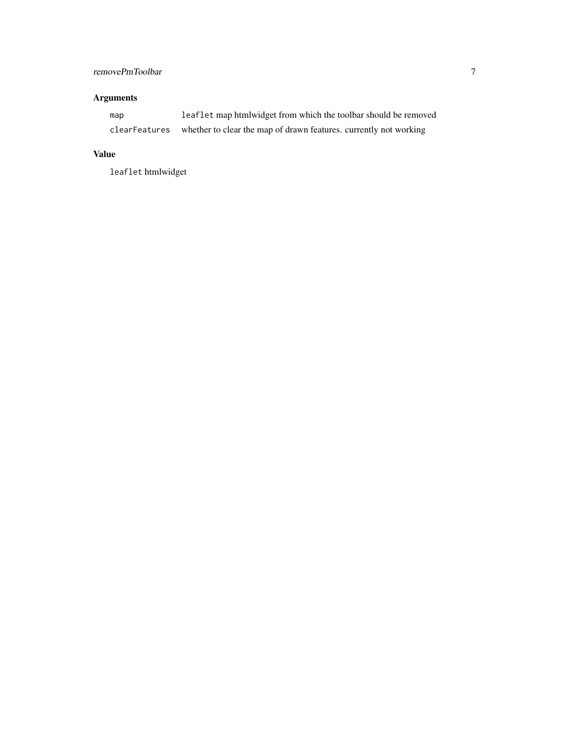#### removePmToolbar 7

#### Arguments

| map           | leaflet map htmlwidget from which the toolbar should be removed   |
|---------------|-------------------------------------------------------------------|
| clearFeatures | whether to clear the map of drawn features, currently not working |

#### Value

leaflet htmlwidget